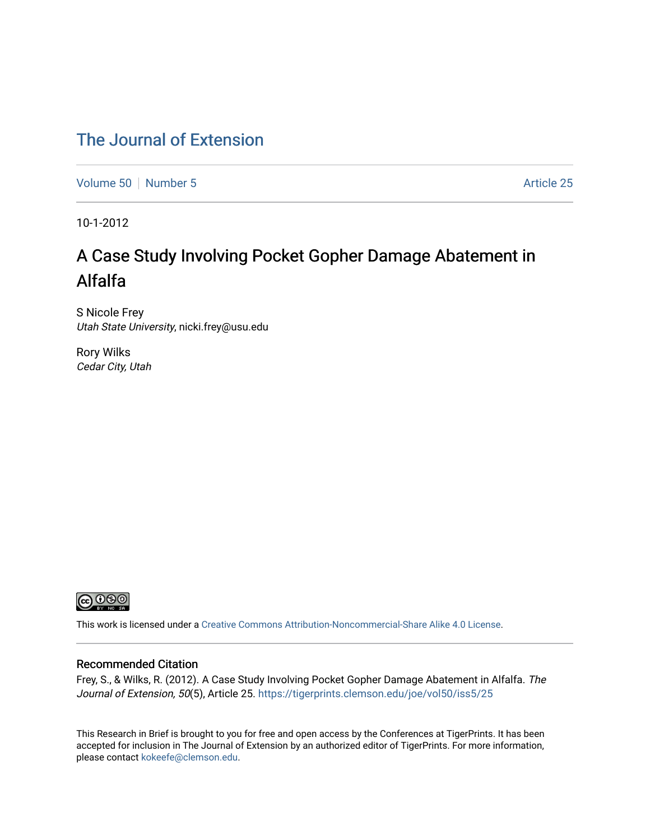## [The Journal of Extension](https://tigerprints.clemson.edu/joe)

[Volume 50](https://tigerprints.clemson.edu/joe/vol50) [Number 5](https://tigerprints.clemson.edu/joe/vol50/iss5) Article 25

10-1-2012

# A Case Study Involving Pocket Gopher Damage Abatement in Alfalfa

S Nicole Frey Utah State University, nicki.frey@usu.edu

Rory Wilks Cedar City, Utah



This work is licensed under a [Creative Commons Attribution-Noncommercial-Share Alike 4.0 License.](https://creativecommons.org/licenses/by-nc-sa/4.0/)

## Recommended Citation

Frey, S., & Wilks, R. (2012). A Case Study Involving Pocket Gopher Damage Abatement in Alfalfa. The Journal of Extension, 50(5), Article 25. https://tigerprints.clemson.edu/joe/vol50/iss5/25

This Research in Brief is brought to you for free and open access by the Conferences at TigerPrints. It has been accepted for inclusion in The Journal of Extension by an authorized editor of TigerPrints. For more information, please contact [kokeefe@clemson.edu](mailto:kokeefe@clemson.edu).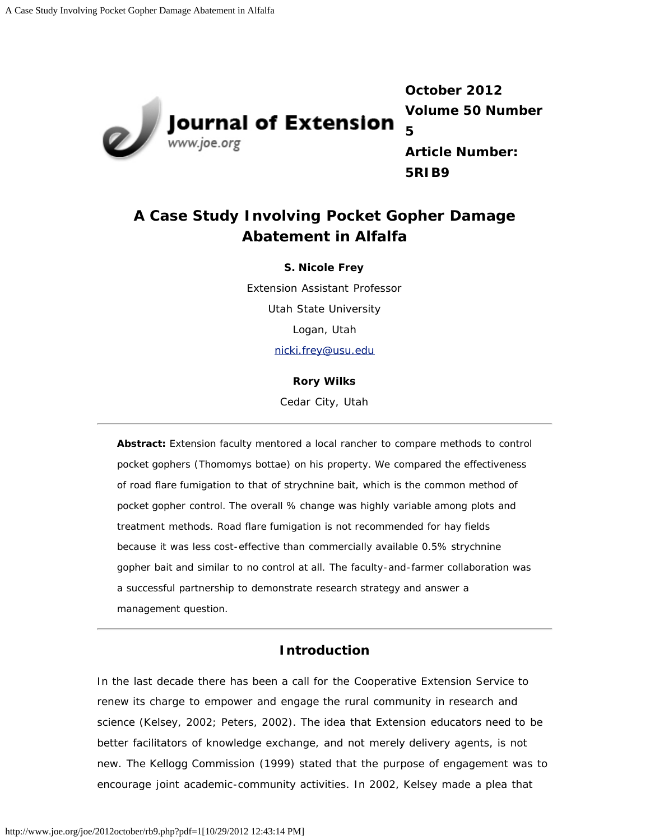

**October 2012 Volume 50 Number 5**

**Article Number: 5RIB9**

## **A Case Study Involving Pocket Gopher Damage Abatement in Alfalfa**

#### **S. Nicole Frey**

Extension Assistant Professor Utah State University Logan, Utah [nicki.frey@usu.edu](mailto:nicki.frey@usu.edu)

#### **Rory Wilks**

Cedar City, Utah

*Abstract: Extension faculty mentored a local rancher to compare methods to control pocket gophers (Thomomys bottae) on his property. We compared the effectiveness of road flare fumigation to that of strychnine bait, which is the common method of pocket gopher control. The overall % change was highly variable among plots and treatment methods. Road flare fumigation is not recommended for hay fields because it was less cost-effective than commercially available 0.5% strychnine gopher bait and similar to no control at all. The faculty-and-farmer collaboration was a successful partnership to demonstrate research strategy and answer a management question.*

## **Introduction**

In the last decade there has been a call for the Cooperative Extension Service to renew its charge to empower and engage the rural community in research and science (Kelsey, 2002; Peters, 2002). The idea that Extension educators need to be better facilitators of knowledge exchange, and not merely delivery agents, is not new. The Kellogg Commission (1999) stated that the purpose of engagement was to encourage joint academic-community activities. In 2002, Kelsey made a plea that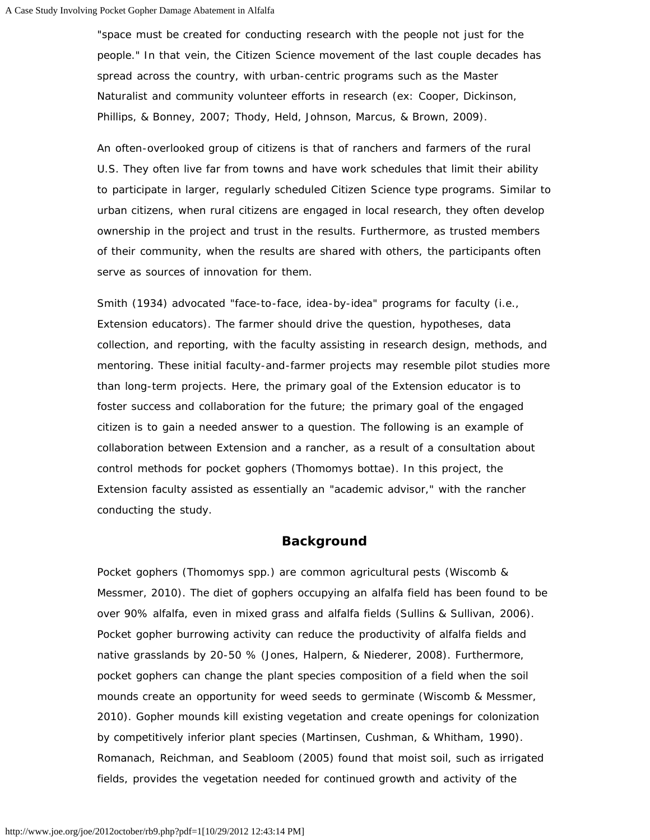"space must be created for conducting research *with* the people not just *for* the people." In that vein, the Citizen Science movement of the last couple decades has spread across the country, with urban-centric programs such as the Master Naturalist and community volunteer efforts in research (ex: Cooper, Dickinson, Phillips, & Bonney, 2007; Thody, Held, Johnson, Marcus, & Brown, 2009).

An often-overlooked group of citizens is that of ranchers and farmers of the rural U.S. They often live far from towns and have work schedules that limit their ability to participate in larger, regularly scheduled Citizen Science type programs. Similar to urban citizens, when rural citizens are engaged in local research, they often develop ownership in the project and trust in the results. Furthermore, as trusted members of their community, when the results are shared with others, the participants often serve as sources of innovation for them.

Smith (1934) advocated "face-to-face, idea-by-idea" programs for faculty (i.e., Extension educators). The farmer should drive the question, hypotheses, data collection, and reporting, with the faculty assisting in research design, methods, and mentoring. These initial faculty-and-farmer projects may resemble pilot studies more than long-term projects. Here, the primary goal of the Extension educator is to foster success and collaboration for the future; the primary goal of the engaged citizen is to gain a needed answer to a question. The following is an example of collaboration between Extension and a rancher, as a result of a consultation about control methods for pocket gophers (*Thomomys bottae*). In this project, the Extension faculty assisted as essentially an "academic advisor," with the rancher conducting the study.

## **Background**

Pocket gophers (*Thomomys spp.*) are common agricultural pests (Wiscomb & Messmer, 2010). The diet of gophers occupying an alfalfa field has been found to be over 90% alfalfa, even in mixed grass and alfalfa fields (Sullins & Sullivan, 2006). Pocket gopher burrowing activity can reduce the productivity of alfalfa fields and native grasslands by 20-50 % (Jones, Halpern, & Niederer, 2008). Furthermore, pocket gophers can change the plant species composition of a field when the soil mounds create an opportunity for weed seeds to germinate (Wiscomb & Messmer, 2010). Gopher mounds kill existing vegetation and create openings for colonization by competitively inferior plant species (Martinsen, Cushman, & Whitham, 1990). Romanach, Reichman, and Seabloom (2005) found that moist soil, such as irrigated fields, provides the vegetation needed for continued growth and activity of the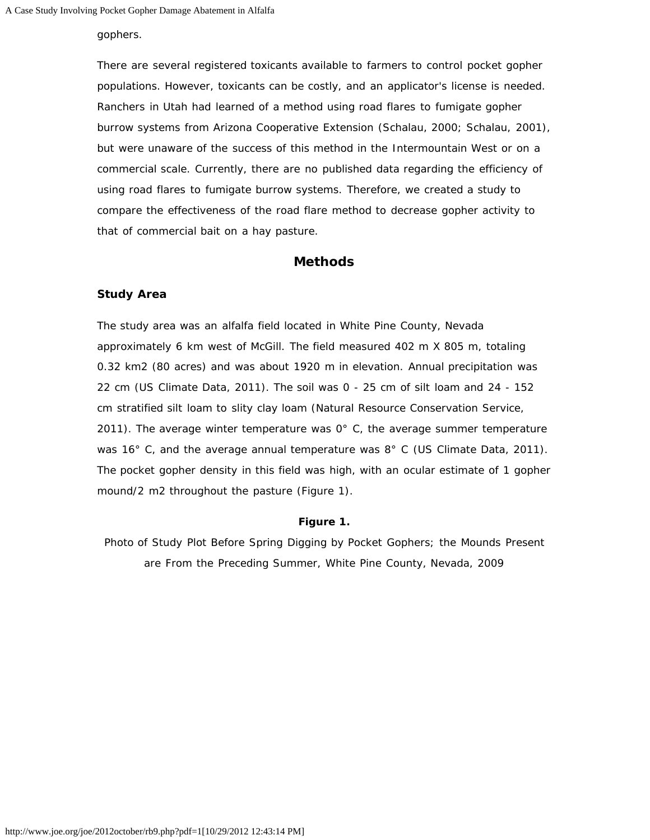#### gophers.

There are several registered toxicants available to farmers to control pocket gopher populations. However, toxicants can be costly, and an applicator's license is needed. Ranchers in Utah had learned of a method using road flares to fumigate gopher burrow systems from Arizona Cooperative Extension (Schalau, 2000; Schalau, 2001), but were unaware of the success of this method in the Intermountain West or on a commercial scale. Currently, there are no published data regarding the efficiency of using road flares to fumigate burrow systems. Therefore, we created a study to compare the effectiveness of the road flare method to decrease gopher activity to that of commercial bait on a hay pasture.

## **Methods**

#### **Study Area**

The study area was an alfalfa field located in White Pine County, Nevada approximately 6 km west of McGill. The field measured 402 m X 805 m, totaling 0.32 km2 (80 acres) and was about 1920 m in elevation. Annual precipitation was 22 cm (US Climate Data, 2011). The soil was 0 - 25 cm of silt loam and 24 - 152 cm stratified silt loam to slity clay loam (Natural Resource Conservation Service, 2011). The average winter temperature was  $0^{\circ}$  C, the average summer temperature was 16° C, and the average annual temperature was 8° C (US Climate Data, 2011). The pocket gopher density in this field was high, with an ocular estimate of 1 gopher mound/2 m2 throughout the pasture (Figure 1).

#### **Figure 1.**

Photo of Study Plot Before Spring Digging by Pocket Gophers; the Mounds Present are From the Preceding Summer, White Pine County, Nevada, 2009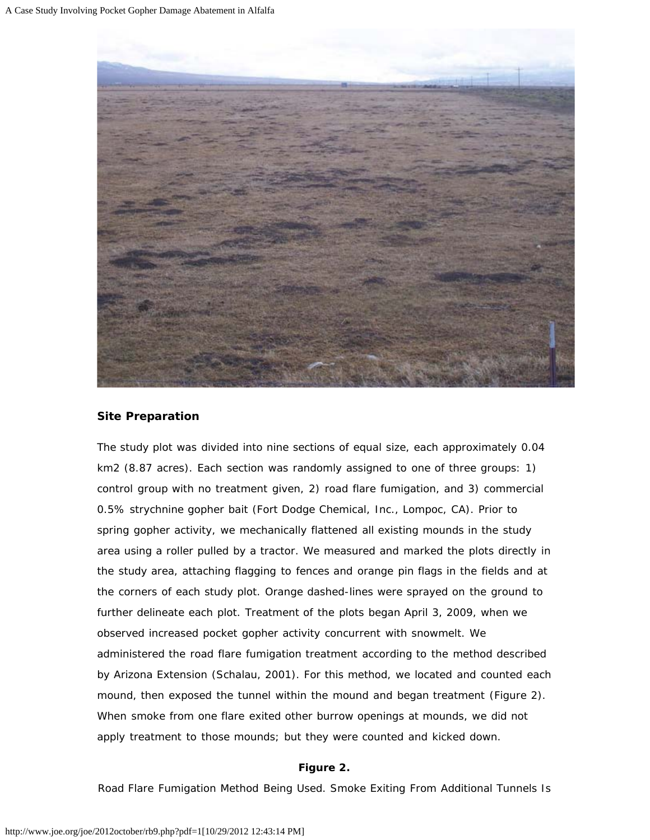

## **Site Preparation**

The study plot was divided into nine sections of equal size, each approximately 0.04 km2 (8.87 acres). Each section was randomly assigned to one of three groups: 1) control group with no treatment given, 2) road flare fumigation, and 3) commercial 0.5% strychnine gopher bait (Fort Dodge Chemical, Inc., Lompoc, CA). Prior to spring gopher activity, we mechanically flattened all existing mounds in the study area using a roller pulled by a tractor. We measured and marked the plots directly in the study area, attaching flagging to fences and orange pin flags in the fields and at the corners of each study plot. Orange dashed-lines were sprayed on the ground to further delineate each plot. Treatment of the plots began April 3, 2009, when we observed increased pocket gopher activity concurrent with snowmelt. We administered the road flare fumigation treatment according to the method described by Arizona Extension (Schalau, 2001). For this method, we located and counted each mound, then exposed the tunnel within the mound and began treatment (Figure 2). When smoke from one flare exited other burrow openings at mounds, we did not apply treatment to those mounds; but they were counted and kicked down.

#### **Figure 2.**

Road Flare Fumigation Method Being Used. Smoke Exiting From Additional Tunnels Is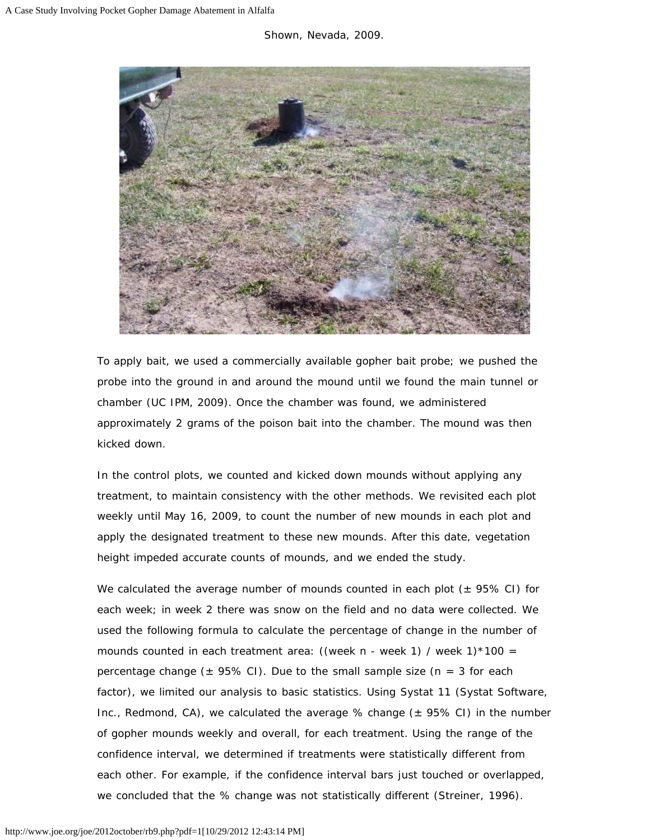

To apply bait, we used a commercially available gopher bait probe; we pushed the probe into the ground in and around the mound until we found the main tunnel or chamber (UC IPM, 2009). Once the chamber was found, we administered approximately 2 grams of the poison bait into the chamber. The mound was then kicked down.

In the control plots, we counted and kicked down mounds without applying any treatment, to maintain consistency with the other methods. We revisited each plot weekly until May 16, 2009, to count the number of new mounds in each plot and apply the designated treatment to these new mounds. After this date, vegetation height impeded accurate counts of mounds, and we ended the study.

We calculated the average number of mounds counted in each plot  $(± 95\% CI)$  for each week; in week 2 there was snow on the field and no data were collected. We used the following formula to calculate the percentage of change in the number of mounds counted in each treatment area: ((week n - week 1) / week 1)  $*100 =$ percentage change ( $\pm$  95% CI). Due to the small sample size (n = 3 for each factor), we limited our analysis to basic statistics. Using Systat 11 (Systat Software, Inc., Redmond, CA), we calculated the average % change  $(± 95% CI)$  in the number of gopher mounds weekly and overall, for each treatment. Using the range of the confidence interval, we determined if treatments were statistically different from each other. For example, if the confidence interval bars just touched or overlapped, we concluded that the % change was not statistically different (Streiner, 1996).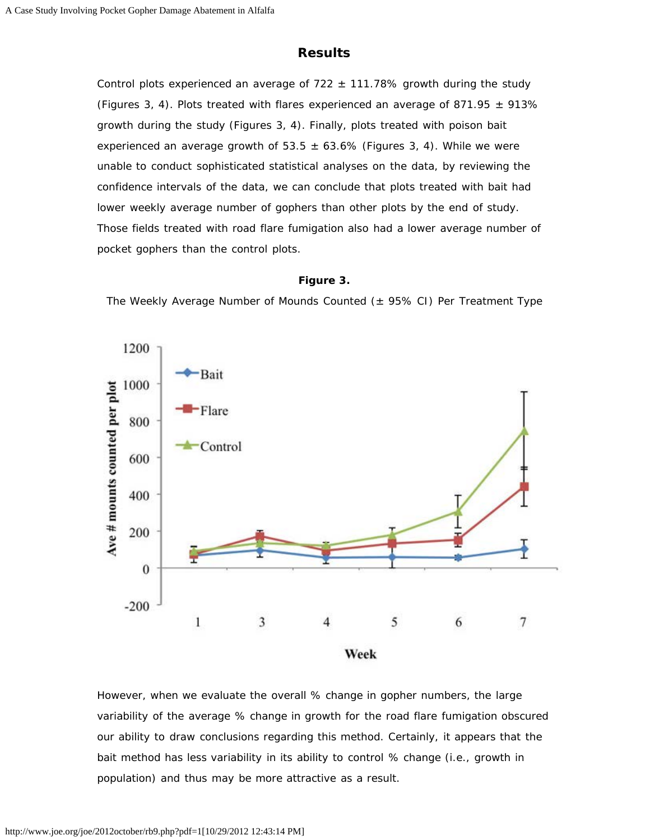## **Results**

Control plots experienced an average of  $722 \pm 111.78\%$  growth during the study (Figures 3, 4). Plots treated with flares experienced an average of 871.95  $\pm$  913% growth during the study (Figures 3, 4). Finally, plots treated with poison bait experienced an average growth of 53.5  $\pm$  63.6% (Figures 3, 4). While we were unable to conduct sophisticated statistical analyses on the data, by reviewing the confidence intervals of the data, we can conclude that plots treated with bait had lower weekly average number of gophers than other plots by the end of study. Those fields treated with road flare fumigation also had a lower average number of pocket gophers than the control plots.

#### **Figure 3.**

The Weekly Average Number of Mounds Counted  $(\pm 95\% \text{ C}I)$  Per Treatment Type



However, when we evaluate the overall % change in gopher numbers, the large variability of the average % change in growth for the road flare fumigation obscured our ability to draw conclusions regarding this method. Certainly, it appears that the bait method has less variability in its ability to control % change (i.e., growth in population) and thus may be more attractive as a result.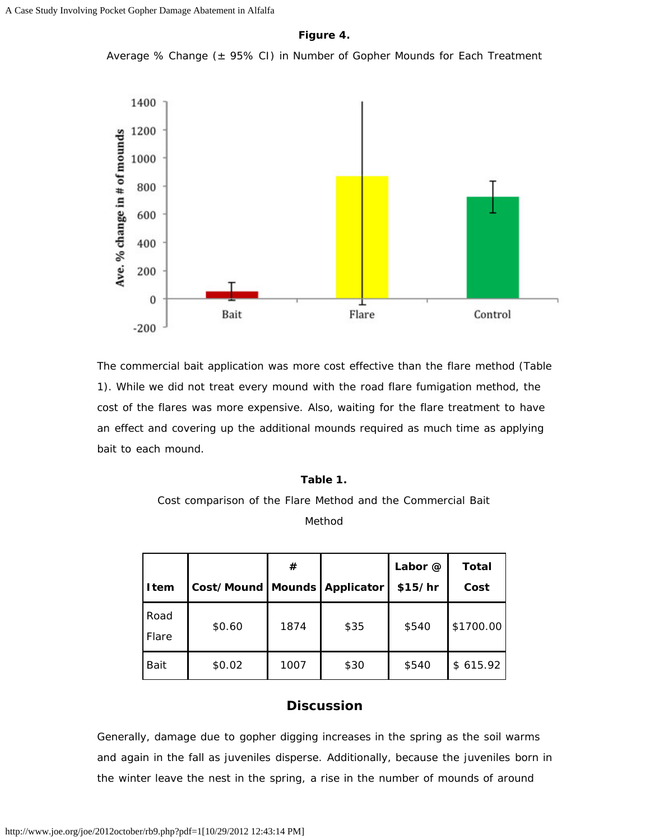**Figure 4.**

Average % Change  $(± 95% CI)$  in Number of Gopher Mounds for Each Treatment



The commercial bait application was more cost effective than the flare method (Table 1). While we did not treat every mound with the road flare fumigation method, the cost of the flares was more expensive. Also, waiting for the flare treatment to have an effect and covering up the additional mounds required as much time as applying bait to each mound.

#### **Table 1.**

## Cost comparison of the Flare Method and the Commercial Bait Method

| <b>I</b> tem  | Cost/Mound   Mounds   Applicator | #    |      | Labor @<br>\$15/hr | Total<br>Cost |
|---------------|----------------------------------|------|------|--------------------|---------------|
| Road<br>Flare | \$0.60                           | 1874 | \$35 | \$540              | \$1700.00     |
| Bait          | \$0.02                           | 1007 | \$30 | \$540              | \$615.92      |

## **Discussion**

Generally, damage due to gopher digging increases in the spring as the soil warms and again in the fall as juveniles disperse. Additionally, because the juveniles born in the winter leave the nest in the spring, a rise in the number of mounds of around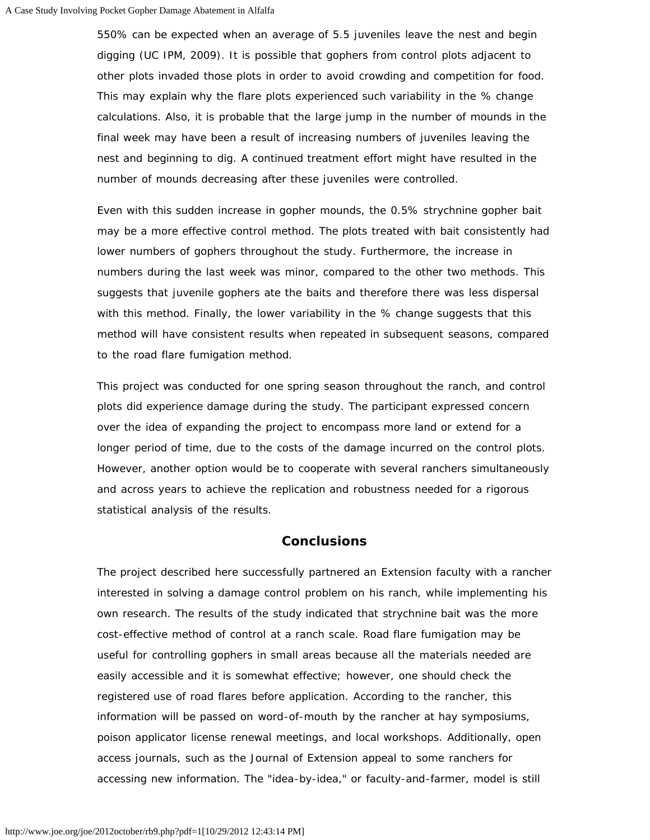550% can be expected when an average of 5.5 juveniles leave the nest and begin digging (UC IPM, 2009). It is possible that gophers from control plots adjacent to other plots invaded those plots in order to avoid crowding and competition for food. This may explain why the flare plots experienced such variability in the % change calculations. Also, it is probable that the large jump in the number of mounds in the final week may have been a result of increasing numbers of juveniles leaving the nest and beginning to dig. A continued treatment effort might have resulted in the number of mounds decreasing after these juveniles were controlled.

Even with this sudden increase in gopher mounds, the 0.5% strychnine gopher bait may be a more effective control method. The plots treated with bait consistently had lower numbers of gophers throughout the study. Furthermore, the increase in numbers during the last week was minor, compared to the other two methods. This suggests that juvenile gophers ate the baits and therefore there was less dispersal with this method. Finally, the lower variability in the % change suggests that this method will have consistent results when repeated in subsequent seasons, compared to the road flare fumigation method.

This project was conducted for one spring season throughout the ranch, and control plots did experience damage during the study. The participant expressed concern over the idea of expanding the project to encompass more land or extend for a longer period of time, due to the costs of the damage incurred on the control plots. However, another option would be to cooperate with several ranchers simultaneously and across years to achieve the replication and robustness needed for a rigorous statistical analysis of the results.

### **Conclusions**

The project described here successfully partnered an Extension faculty with a rancher interested in solving a damage control problem on his ranch, while implementing his own research. The results of the study indicated that strychnine bait was the more cost-effective method of control at a ranch scale. Road flare fumigation may be useful for controlling gophers in small areas because all the materials needed are easily accessible and it is somewhat effective; however, one should check the registered use of road flares before application. According to the rancher, this information will be passed on word-of-mouth by the rancher at hay symposiums, poison applicator license renewal meetings, and local workshops. Additionally, open access journals, such as the *Journal of Extension* appeal to some ranchers for accessing new information. The "idea-by-idea," or faculty-and-farmer, model is still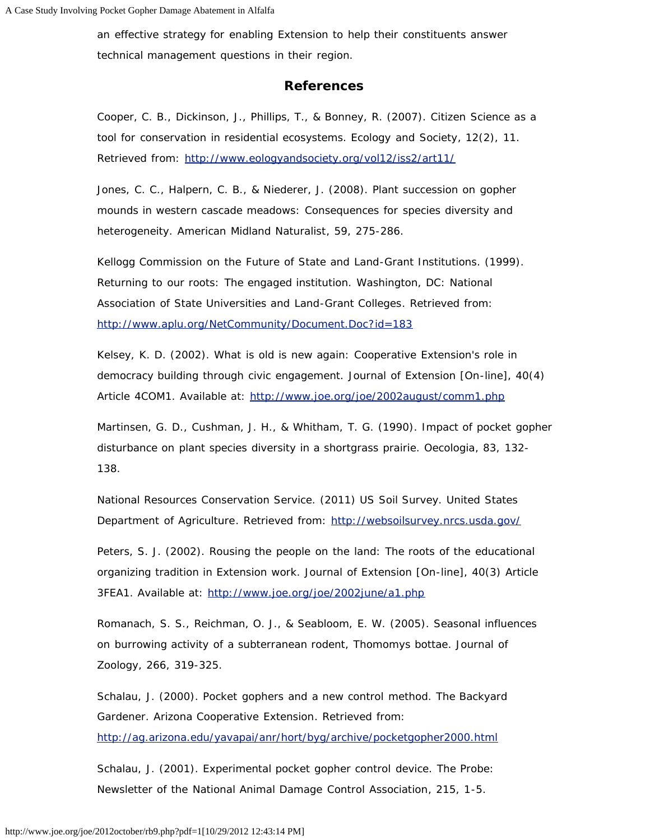an effective strategy for enabling Extension to help their constituents answer technical management questions in their region.

### **References**

Cooper, C. B., Dickinson, J., Phillips, T., & Bonney, R. (2007). Citizen Science as a tool for conservation in residential ecosystems. *Ecology and Society*, 12(2), 11. Retrieved from: <http://www.eologyandsociety.org/vol12/iss2/art11/>

Jones, C. C., Halpern, C. B., & Niederer, J. (2008). Plant succession on gopher mounds in western cascade meadows: Consequences for species diversity and heterogeneity. *American Midland Naturalist*, 59, 275-286.

Kellogg Commission on the Future of State and Land-Grant Institutions. (1999). Returning to our roots: The engaged institution. *Washington, DC: National Association of State Universities and Land-Grant Colleges*. Retrieved from: <http://www.aplu.org/NetCommunity/Document.Doc?id=183>

Kelsey, K. D. (2002). What is old is new again: Cooperative Extension's role in democracy building through civic engagement. *Journal of Extension* [On-line], 40(4) Article 4COM1. Available at: <http://www.joe.org/joe/2002august/comm1.php>

Martinsen, G. D., Cushman, J. H., & Whitham, T. G. (1990). Impact of pocket gopher disturbance on plant species diversity in a shortgrass prairie. *Oecologia*, 83, 132- 138.

National Resources Conservation Service. (2011) US Soil Survey. *United States Department of Agriculture*. Retrieved from: <http://websoilsurvey.nrcs.usda.gov/>

Peters, S. J. (2002). Rousing the people on the land: The roots of the educational organizing tradition in Extension work. *Journal of Extension* [On-line], 40(3) Article 3FEA1. Available at: <http://www.joe.org/joe/2002june/a1.php>

Romanach, S. S., Reichman, O. J., & Seabloom, E. W. (2005). Seasonal influences on burrowing activity of a subterranean rodent, *Thomomys bottae*. *Journal of Zoology*, 266, 319-325.

Schalau, J. (2000). Pocket gophers and a new control method. *The Backyard Gardener*. *Arizona Cooperative Extension*. Retrieved from: <http://ag.arizona.edu/yavapai/anr/hort/byg/archive/pocketgopher2000.html>

Schalau, J. (2001). Experimental pocket gopher control device. *The Probe: Newsletter of the National Animal Damage Control Association*, 215, 1-5.